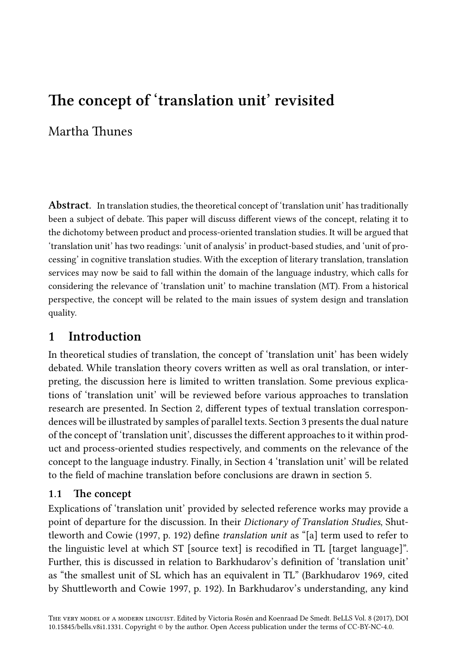# **The concept of 'translation unit' revisited**

## Martha Thunes

**Abstract**. In translation studies, the theoretical concept of 'translation unit' has traditionally been a subject of debate. This paper will discuss different views of the concept, relating it to the dichotomy between product and process-oriented translation studies. It will be argued that 'translation unit' has two readings: 'unit of analysis' in product-based studies, and 'unit of processing' in cognitive translation studies. With the exception of literary translation, translation services may now be said to fall within the domain of the language industry, which calls for considering the relevance of 'translation unit' to machine translation (MT). From a historical perspective, the concept will be relat[ed](#page-2-0) to the main issues of system design and translation quality.

## **1 Introduction**

<span id="page-0-0"></span>In theoretical studies of translation, the concept of ['tr](#page-12-0)anslation unit' has been widely debated. While translation theory covers written as well as oral translation, or interpreting, the discussion here is limited to written translation. Some previous explications of 'translation unit' will be reviewed before various approaches to translation research are presented. In Section 2, different types of textual translation correspondences will be illustrated by samples of parallel texts. Section 3 presents the dual nature of the concept of 'translation unit', discusses the different approaches to it within product and process-oriented studies respectively, and comments on the relevance of the concept to the language industry. Finally, in Section 4 'translation unit' will be related to the field of machine translation before conclusions are drawn in section 5.

### **1.1 The concept**

Explications of 'translation unit' provided by selected reference works may provide a point of departure for the discussion. In their *Dictionary of Translation Studies*, Shuttleworth and Cowie (1997, p. 192) define *translation unit* as "[a] term used to refer to the linguistic level at which ST [source text] is recodified in TL [target language]". Further, this is discussed in relation to Barkhudarov's definition of 'translation unit' as "the smallest unit of SL which has an equivalent in TL" (Barkhudarov 1969, cited by Shuttleworth and Cowie 1997, p. 192). In Barkhudarov's understanding, any kind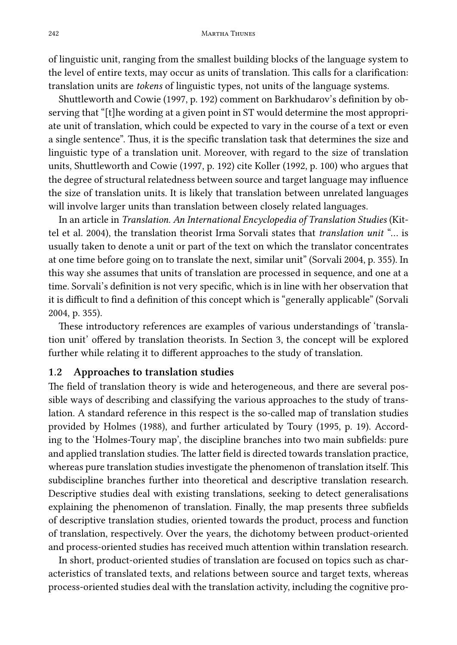242 Martha Thunes

of linguistic unit, ranging from the smallest building blocks of the language system to the level of entire texts, may occur as units of translation. This calls for a clarification: translation units are *tokens* of linguistic types, not units of the language systems.

Shuttleworth and Cowie (1997, p. 192) comment on Barkhudarov's definition by observing that "[t]he wording at a given point in ST would determine the most appropriate unit of translation, which could be expected to vary in the course of a text or even a single sentence". Thus, it is the specific translation task that determines the size and linguistic type of a translation unit. Moreover, with regard to the size of translation units, Shuttleworth and Cowie (1997, p. 192) cite Koller (1992, p. 100) who argues that the degree of structural relatedness between source and target language may influence the size of translation units. It is likely that translation between unrelated languages will involve larger units than translation between closely related languages.

In an article in *Translation. An International Encyclopedia of Translation Studies* (Kittel et al. 2004), the translation theorist Irma Sorvalis[ta](#page-5-0)tes that *translation unit* "… is usually taken to denote a unit or part of the text on which the translator concentrates at one time before going on to translate the next, similar unit" (Sorvali 2004, p. 355). In this way she assumes that units of translation are processed in sequence, and one at a time. Sorvali's definition is not very specific, which is in line with her observation that it is difficult to find a definition of this concept which is "generally applicable" (Sorvali 2004, p. 355).

These introductory references are examples of various understandings of 'translation unit' offered by translation theorists. In Section 3, the concept will be explored further while relating it to different approaches to the study of translation.

#### **1.2 Approaches to translation studies**

The field of translation theory is wide and heterogeneous, and there are several possible ways of describing and classifying the various approaches to the study of translation. A standard reference in this respect is the so-called map of translation studies provided by Holmes (1988), and further articulated by Toury (1995, p. 19). According to the 'Holmes-Toury map', the discipline branches into two main subfields: pure and applied translation studies. The latter field is directed towards translation practice, whereas pure translation studies investigate the phenomenon of translation itself. This subdiscipline branches further into theoretical and descriptive translation research. Descriptive studies deal with existing translations, seeking to detect generalisations explaining the phenomenon of translation. Finally, the map presents three subfields of descriptive translation studies, oriented towards the product, process and function of translation, respectively. Over the years, the dichotomy between product-oriented and process-oriented studies has received much attention within translation research.

In short, product-oriented studies of translation are focused on topics such as characteristics of translated texts, and relations between source and target texts, whereas process-oriented studies deal with the translation activity, including the cognitive pro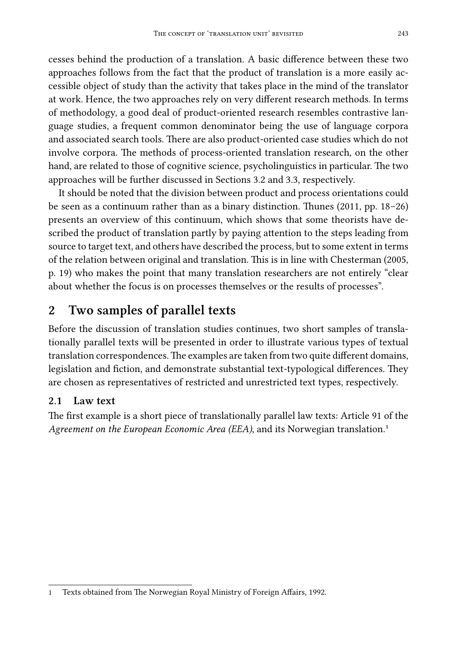cesses behind the production of a translation. A basic difference between these two approaches follows from the fact that the prod[uct o](#page-6-0)f tr[ans](#page-7-0)lation is a more easily accessible object of study than the activity that takes place in the mind of the translator at work. Hence, the two approaches rely on very different research methods. In terms of methodology, a good deal of product-oriented research resembles contrastive language studies, a frequent common denominator being the use of language corpora and associated search tools. There are also product-oriented case studies which do not involve corpora. The methods of process-oriented translation research, on the other hand, are related to those of cognitive science, psycholinguistics in particular. The two approaches will be further discussed in Sections 3.2 and 3.3, respectively.

<span id="page-2-0"></span>It should be noted that the division between product and process orientations could be seen as a continuum rather than as a binary distinction. Thunes (2011, pp. 18–26) presents an overview of this continuum, which shows that some theorists have described the product of translation partly by paying attention to the steps leading from source to target text, and others have described the process, but to some extent in terms of the relation between original and translation. This is in line with Chesterman (2005, p. 19) who makes the point that many translation researchers are not entirely "clear about whether the focus is on processes themselves or the results of processes".

## **2 Two samples of parallel texts**

Before the discussion of translation studies continues, two short samples of tr[an](#page-2-1)slationally parallel texts will be presented in order to illustrate various types of textual translation correspondences. The examples are taken from two quite different domains, legislation and fiction, and demonstrate substantial text-typological differences. They are chosen as representatives of restricted and unrestricted text types, respectively.

#### **2.1 Law text**

<span id="page-2-1"></span>The first example is a short piece of translationally parallel law texts: Article 91 of the *Agreement on the European Economic Area (EEA)*, and its Norwegian translation.<sup>1</sup>

<sup>1</sup> Texts obtained from The Norwegian Royal Ministry of Foreign Affairs, 1992.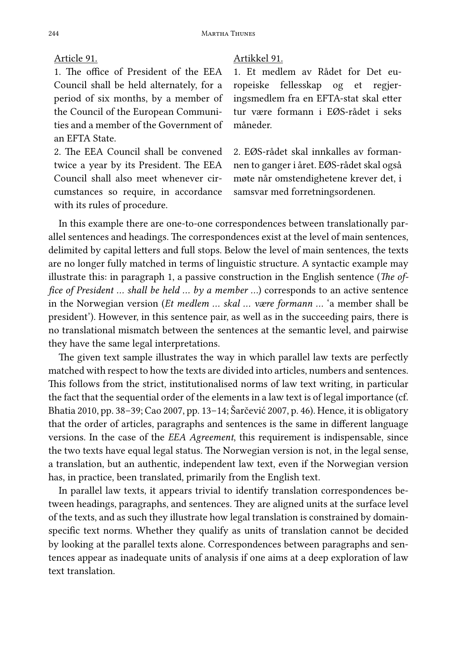1. The office of President of the EEA Council shall be held alternately, for a period of six months, by a member of the Council of the European Communities and a member of the Government of an EFTA State.

2. The EEA Council shall be convened twice a year by its President. The EEA Council shall also meet whenever circumstances so require, in accordance with its rules of procedure.

#### Article 91. Artikkel 91.

1. Et medlem av Rådet for Det europeiske fellesskap og et regjeringsmedlem fra en EFTA-stat skal etter tur være formann i EØS-rådet i seks måneder.

2. EØS-rådet skal innkalles av formannen to ganger i året. EØS-rådet skal også møte når omstendighetene krever det, i samsvar med forretningsordenen.

In this example there are one-to-one correspondences between translationally parallel sentences and headings. The correspondences exist at the level of main sentences, delimited by capital letters and full stops. Below the level of main sentences, the texts are no longer fully matched in terms of linguistic structure. A syntactic example may illustrate this: in paragraph 1, a passive construction in the English sentence (*The office of President ... shall be held ... by a member ...*) corresponds to an active sentence in the Norwegian version (*Et medlem … skal … være formann …* 'a member shall be president'). However, in this sentence pair, as well as in the succeeding pairs, there is no translational mismatch between the sentences at the semantic level, and pairwise they have the same legal interpretations.

The given text sample illustrates the way in which parallel law texts are perfectly matched with respect to how the texts are divided into articles, numbers and sentences. This follows from the strict, institutionalised norms of law text writing, in particular the fact that the sequential order of the elements in a law text is of legal importance (cf. Bhatia 2010, pp. 38–39; Cao 2007, pp. 13–14; Šarčević 2007, p. 46). Hence, it is obligatory that the order of articles, paragraphs and sentences is the same in different language versions. In the case of the *EEA Agreement*, this requirement is indispensable, since the two texts have equal legal status. The Norwegian version is not, in the legal sense, a translation, but an authentic, independent law text, even if the Norwegian version has, in practice, been translated, primarily from the English text.

In parallel law texts, it appears trivial to identify translation correspondences between headings, paragraphs, and sentences. They are aligned units at the surface level of the texts, and as such they illustrate how legal translation is constrained by domainspecific text norms. Whether they qualify as units of translation cannot be decided by looking at the parallel texts alone. Correspondences between paragraphs and sentences appear as inadequate units of analysis if one aims at a deep exploration of law text translation.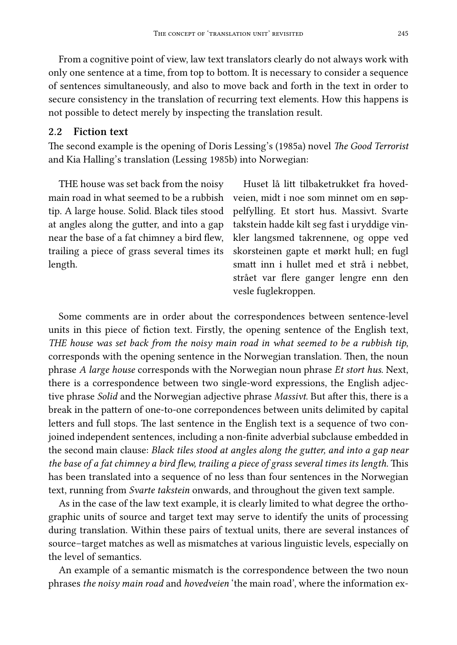From a cognitive point of view, law text translators clearly do not always work with only one sentence at a time, from top to bottom. It is necessary to consider a sequence of sentences simultaneously, and also to move back and forth in the text in order to secure consistency in the translation of recurring text elements. How this happens is not possible to detect merely by inspecting the translation result.

#### **2.2 Fiction text**

The second example is the opening of Doris Lessing's (1985a) novel *The Good Terrorist* and Kia Halling's translation (Lessing 1985b) into Norwegian:

THE house was set back from the noisy main road in what seemed to be a rubbish tip. A large house. Solid. Black tiles stood at angles along the gutter, and into a gap near the base of a fat chimney a bird flew, trailing a piece of grass several times its length.

Huset lå litt tilbaketrukket fra hovedveien, midt i noe som minnet om en søppelfylling. Et stort hus. Massivt. Svarte takstein hadde kilt seg fast i uryddige vinkler langsmed takrennene, og oppe ved skorsteinen gapte et mørkt hull; en fugl smatt inn i hullet med et strå i nebbet, strået var flere ganger lengre enn den vesle fuglekroppen.

Some comments are in order about the correspondences between sentence-level units in this piece of fiction text. Firstly, the opening sentence of the English text, *THE house was set back from the noisy main road in what seemed to be a rubbish tip*, corresponds with the opening sentence in the Norwegian translation. Then, the noun phrase *A large house* corresponds with the Norwegian noun phrase *Et stort hus*. Next, there is a correspondence between two single-word expressions, the English adjective phrase *Solid* and the Norwegian adjective phrase *Massivt*. But after this, there is a break in the pattern of one-to-one correpondences between units delimited by capital letters and full stops. The last sentence in the English text is a sequence of two conjoined independent sentences, including a non-finite adverbial subclause embedded in the second main clause: *Black tiles stood at angles along the gutter, and into a gap near the base of a fat chimney a bird flew, trailing a piece of grass several times its length.* This has been translated into a sequence of no less than four sentences in the Norwegian text, running from *Svarte takstein* onwards, and throughout the given text sample.

As in the case of the law text example, it is clearly limited to what degree the orthographic units of source and target text may serve to identify the units of processing during translation. Within these pairs of textual units, there are several instances of source–target matches as well as mismatches at various linguistic levels, especially on the level of semantics.

An example of a semantic mismatch is the correspondence between the two noun phrases *the noisy main road* and *hovedveien* 'the main road', where the information ex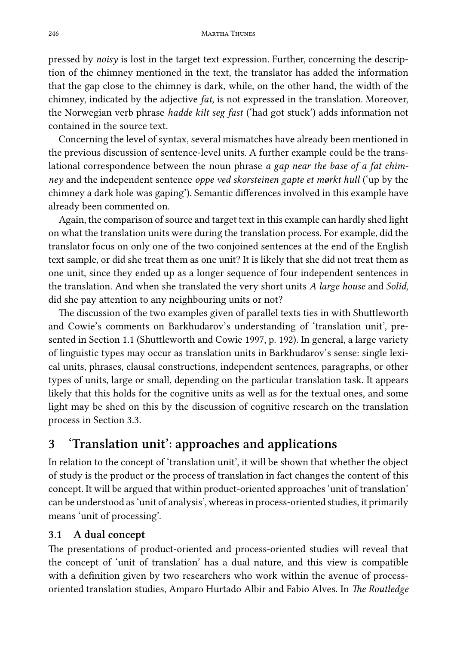246 Martha Thunes

pressed by *noisy* is lost in the target text expression. Further, concerning the description of the chimney mentioned in the text, the translator has added the information that the gap close to the chimney is dark, while, on the other hand, the width of the chimney, indicated by the adjective *fat*, is not expressed in the translation. Moreover, the Norwegian verb phrase *hadde kilt seg fast* ('had got stuck') adds information not contained in the source text.

Concerning the level of syntax, several mismatches have already been mentioned in the previous discussion of sentence-level units. A further example could be the translational correspondence between the noun phrase *a gap near the base of a fat chimney* and the independent sentence *oppe ved skorsteinen gapte et mørkt hull* ('up by the chimney a dark hole was gaping'). Semantic differences involved in this example have already been commented on.

Again, the comparison of source and target text in this example can hardly shed light on what the trans[lati](#page-0-0)on units were during the translation process. For example, did the translator focus on only one of the two conjoined sentences at the end of the English text sample, or did she treat them as one unit? It is likely that she did not treat them as one unit, since they ended up as a longer sequence of four independent sentences in the translation. And when she translated the very short units *A large house* and *Solid*, did she pay attention to any neighbouring units or not?

<span id="page-5-0"></span>The discussion [of th](#page-7-0)e two examples given of parallel texts ties in with Shuttleworth and Cowie's comments on Barkhudarov's understanding of 'translation unit', presented in Section 1.1 (Shuttleworth and Cowie 1997, p. 192). In general, a large variety of linguistic types may occur as translation units in Barkhudarov's sense: single lexical units, phrases, clausal constructions, independent sentences, paragraphs, or other types of units, large or small, depending on the particular translation task. It appears likely that this holds for the cognitive units as well as for the textual ones, and some light may be shed on this by the discussion of cognitive research on the translation process in Section 3.3.

## **3 'Translation unit': approaches and applications**

In relation to the concept of 'translation unit', it will be shown that whether the object of study is the product or the process of translation in fact changes the content of this concept. It will be argued that within product-oriented approaches 'unit of translation' can be understood as 'unit of analysis', whereas in process-oriented studies, it primarily means 'unit of processing'.

#### **3.1 A dual concept**

The presentations of product-oriented and process-oriented studies will reveal that the concept of 'unit of translation' has a dual nature, and this view is compatible with a definition given by two researchers who work within the avenue of processoriented translation studies, Amparo Hurtado Albir and Fabio Alves. In *The Routledge*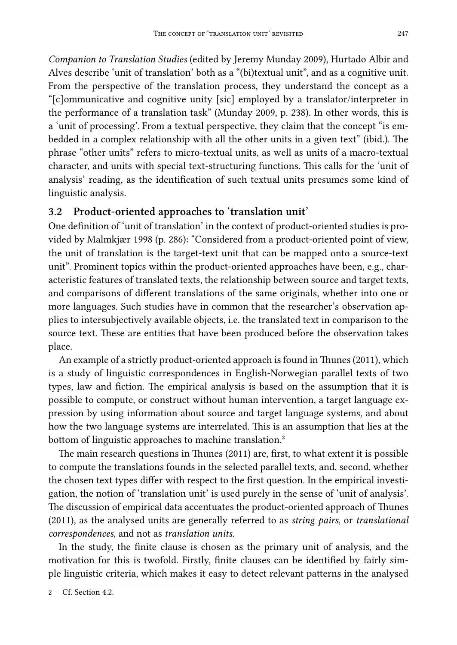<span id="page-6-0"></span>*Companion to Translation Studies* (edited by Jeremy Munday 2009), Hurtado Albir and Alves describe 'unit of translation' both as a "(bi)textual unit", and as a cognitive unit. From the perspective of the translation process, they understand the concept as a "[c]ommunicative and cognitive unity [sic] employed by a translator/interpreter in the performance of a translation task" (Munday 2009, p. 238). In other words, this is a 'unit of processing'. From a textual perspective, they claim that the concept "is embedded in a complex relationship with all the other units in a given text" (ibid.). The phrase "other units" refers to micro-textual units, as well as units of a macro-textual character, and units with special text-structuring functions. This calls for the 'unit of analysis' reading, as the identification of such textual units presumes some kind of linguistic analysis.

#### **3.2 Product-oriented approaches to 'translation unit'**

One definition of 'unit of translation' in the context of product-oriented studies is provided by Malmkjær 1998 (p. 286): "Considered from a product-oriented point of view, the unit of translation is the target-text unit that can be mapped onto a source-text unit". Prominent topics within the product-oriented approaches have been, e.g., characteristic features of translated texts, the relationship between source and target texts, and comparisons of different translations of the same originals, whether into one or more languages. Such studies have in common that the researcher's observation applies to intersubjectively available objects, i.e. the translated text in comparison to the source text. These are entities that have been produce[d](#page-6-1) before the observation takes place.

An example of a strictly product-oriented approach is found in Thunes (2011), which is a study of linguistic correspondences in English-Norwegian parallel texts of two types, law and fiction. The empirical analysis is based on the assumption that it is possible to compute, or construct without human intervention, a target language expression by using information about source and target language systems, and about how the two language systems are interrelated. This is an assumption that lies at the bottom of linguistic approaches to machine translation.<sup>2</sup>

<span id="page-6-1"></span>The main research questions in Thunes (2011) are, first, to what extent it is possible to compute the translations founds in the selected parallel texts, and, second, whether the chosen t[ext](#page-13-0) types differ with respect to the first question. In the empirical investigation, the notion of 'translation unit' is used purely in the sense of 'unit of analysis'. The discussion of empirical data accentuates the product-oriented approach of Thunes (2011), as the analysed units are generally referred to as *string pairs*, or *translational correspondences*, and not as *translation units*.

In the study, the finite clause is chosen as the primary unit of analysis, and the motivation for this is twofold. Firstly, finite clauses can be identified by fairly simple linguistic criteria, which makes it easy to detect relevant patterns in the analysed

Cf. Section 4.2.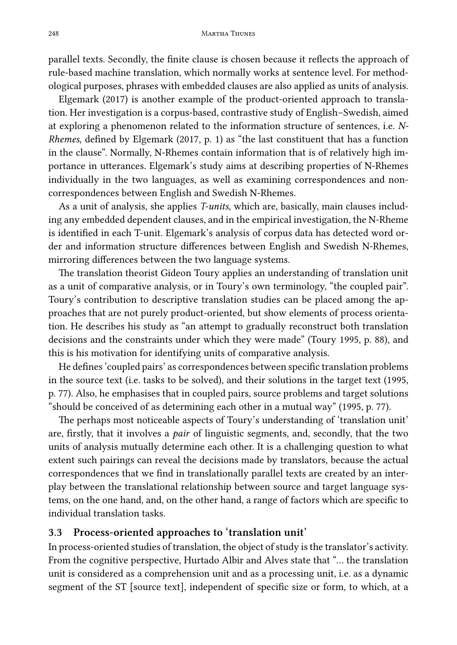parallel texts. Secondly, the finite clause is chosen because it reflects the approach of rule-based machine translation, which normally works at sentence level. For methodological purposes, phrases with embedded clauses are also applied as units of analysis.

Elgemark (2017) is another example of the product-oriented approach to translation. Her investigation is a corpus-based, contrastive study of English–Swedish, aimed at exploring a phenomenon related to the information structure of sentences, i.e. *N-Rhemes*, defined by Elgemark (2017, p. 1) as "the last constituent that has a function in the clause". Normally, N-Rhemes contain information that is of relatively high importance in utterances. Elgemark's study aims at describing properties of N-Rhemes individually in the two languages, as well as examining correspondences and noncorrespondences between English and Swedish N-Rhemes.

As a unit of analysis, she applies *T-units*, which are, basically, main clauses including any embedded dependent clauses, and in the empirical investigation, the N-Rheme is identified in each T-unit. Elgemark's analysis of corpus data has detected word order and information structure differences between English and Swedish N-Rhemes, mirroring differences between the two language systems.

The translation theorist Gideon Toury applies an understanding of translation unit as a unit of comparative analysis, or in Toury's own terminology, "the coupled pair". Toury's contribution to descriptive translation studies can be placed among the approaches that are not purely product-oriented, but show elements of process orientation. He describes his study as "an attempt to gradually reconstruct both translation decisions and the constraints under which they were made" (Toury 1995, p. 88), and this is his motivation for identifying units of comparative analysis.

He defines 'coupled pairs' as correspondences between specific translation problems in the source text (i.e. tasks to be solved), and their solutions in the target text (1995, p. 77). Also, he emphasises that in coupled pairs, source problems and target solutions "should be conceived of as determining each other in a mutual way" (1995, p. 77).

The perhaps most noticeable aspects of Toury's understanding of 'translation unit' are, firstly, that it involves a *pair* of linguistic segments, and, secondly, that the two units of analysis mutually determine each other. It is a challenging question to what extent such pairings can reveal the decisions made by translators, because the actual correspondences that we find in translationally parallel texts are created by an interplay between the translational relationship between source and target language systems, on the one hand, and, on the other hand, a range of factors which are specific to individual translation tasks.

#### <span id="page-7-0"></span>**3.3 Process-oriented approaches to 'translation unit'**

In process-oriented studies of translation, the object of study is the translator's activity. From the cognitive perspective, Hurtado Albir and Alves state that "… the translation unit is considered as a comprehension unit and as a processing unit, i.e. as a dynamic segment of the ST [source text], independent of specific size or form, to which, at a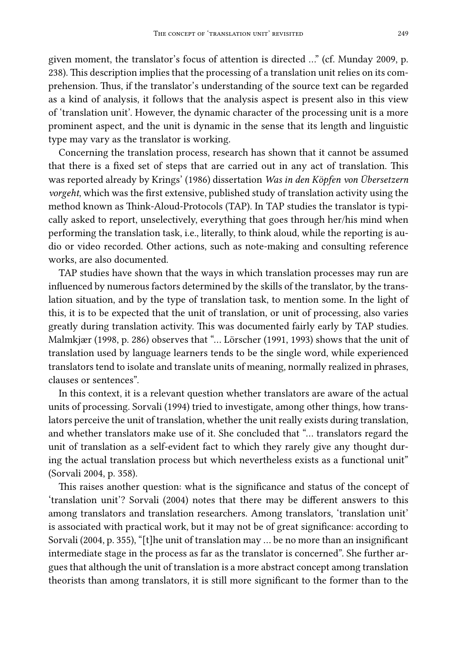given moment, the translator's focus of attention is directed …" (cf. Munday 2009, p. 238). This description implies that the processing of a translation unit relies on its comprehension. Thus, if the translator's understanding of the source text can be regarded as a kind of analysis, it follows that the analysis aspect is present also in this view of 'translation unit'. However, the dynamic character of the processing unit is a more prominent aspect, and the unit is dynamic in the sense that its length and linguistic type may vary as the translator is working.

Concerning the translation process, research has shown that it cannot be assumed that there is a fixed set of steps that are carried out in any act of translation. This was reported already by Krings' (1986) dissertation *Was in den Köpfen von Übersetzern vorgeht*, which was the first extensive, published study of translation activity using the method known as Think-Aloud-Protocols (TAP). In TAP studies the translator is typically asked to report, unselectively, everything that goes through her/his mind when performing the translation task, i.e., literally, to think aloud, while the reporting is audio or video recorded. Other actions, such as note-making and consulting reference works, are also documented.

TAP studies have shown that the ways in which translation processes may run are influenced by numerous factors determined by the skills of the translator, by the translation situation, and by the type of translation task, to mention some. In the light of this, it is to be expected that the unit of translation, or unit of processing, also varies greatly during translation activity. This was documented fairly early by TAP studies. Malmkjær (1998, p. 286) observes that "… Lörscher (1991, 1993) shows that the unit of translation used by language learners tends to be the single word, while experienced translators tend to isolate and translate units of meaning, normally realized in phrases, clauses or sentences".

In this context, it is a relevant question whether translators are aware of the actual units of processing. Sorvali (1994) tried to investigate, among other things, how translators perceive the unit of translation, whether the unit really exists during translation, and whether translators make use of it. She concluded that "… translators regard the unit of translation as a self-evident fact to which they rarely give any thought during the actual translation process but which nevertheless exists as a functional unit" (Sorvali 2004, p. 358).

This raises another question: what is the significance and status of the concept of 'translation unit'? Sorvali (2004) notes that there may be different answers to this among translators and translation researchers. Among translators, 'translation unit' is associated with practical work, but it may not be of great significance: according to Sorvali (2004, p. 355), "[t]he unit of translation may … be no more than an insignificant intermediate stage in the process as far as the translator is concerned". She further argues that although the unit of translation is a more abstract concept among translation theorists than among translators, it is still more significant to the former than to the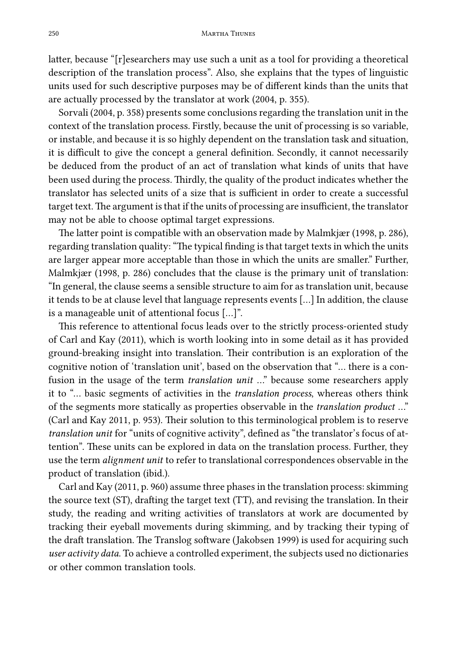latter, because "[r]esearchers may use such a unit as a tool for providing a theoretical description of the translation process". Also, she explains that the types of linguistic units used for such descriptive purposes may be of different kinds than the units that are actually processed by the translator at work (2004, p. 355).

Sorvali (2004, p. 358) presents some conclusions regarding the translation unit in the context of the translation process. Firstly, because the unit of processing is so variable, or instable, and because it is so highly dependent on the translation task and situation, it is difficult to give the concept a general definition. Secondly, it cannot necessarily be deduced from the product of an act of translation what kinds of units that have been used during the process. Thirdly, the quality of the product indicates whether the translator has selected units of a size that is sufficient in order to create a successful target text.The argument is that if the units of processing are insufficient, the translator may not be able to choose optimal target expressions.

The latter point is compatible with an observation made by Malmkjær (1998, p. 286), regarding translation quality: "The typical finding is that target texts in which the units are larger appear more acceptable than those in which the units are smaller." Further, Malmkjær (1998, p. 286) concludes that the clause is the primary unit of translation: "In general, the clause seems a sensible structure to aim for as translation unit, because it tends to be at clause level that language represents events […] In addition, the clause is a manageable unit of attentional focus […]".

This reference to attentional focus leads over to the strictly process-oriented study of Carl and Kay (2011), which is worth looking into in some detail as it has provided ground-breaking insight into translation. Their contribution is an exploration of the cognitive notion of 'translation unit', based on the observation that "… there is a confusion in the usage of the term *translation unit* …" because some researchers apply it to "… basic segments of activities in the *translation process*, whereas others think of the segments more statically as properties observable in the *translation product* …" (Carl and Kay 2011, p. 953). Their solution to this terminological problem is to reserve *translation unit* for "units of cognitive activity", defined as "the translator's focus of attention". These units can be explored in data on the translation process. Further, they use the term *alignment unit* to refer to translational correspondences observable in the product of translation (ibid.).

Carl and Kay (2011, p. 960) assume three phases in the translation process: skimming the source text (ST), drafting the target text (TT), and revising the translation. In their study, the reading and writing activities of translators at work are documented by tracking their eyeball movements during skimming, and by tracking their typing of the draft translation. The Translog software (Jakobsen 1999) is used for acquiring such *user activity data*. To achieve a controlled experiment, the subjects used no dictionaries or other common translation tools.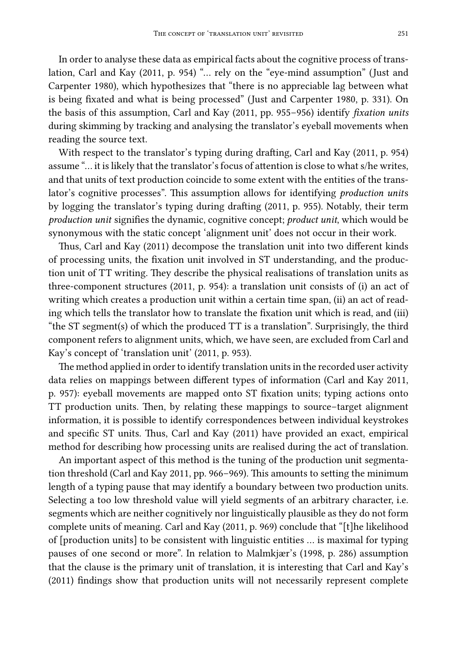In order to analyse these data as empirical facts about the cognitive process of translation, Carl and Kay (2011, p. 954) "… rely on the "eye-mind assumption" (Just and Carpenter 1980), which hypothesizes that "there is no appreciable lag between what is being fixated and what is being processed" (Just and Carpenter 1980, p. 331). On the basis of this assumption, Carl and Kay (2011, pp. 955–956) identify *fixation units* during skimming by tracking and analysing the translator's eyeball movements when reading the source text.

With respect to the translator's typing during drafting, Carl and Kay (2011, p. 954) assume "… it is likely that the translator's focus of attention is close to what s/he writes, and that units of text production coincide to some extent with the entities of the translator's cognitive processes". This assumption allows for identifying *production unit*s by logging the translator's typing during drafting (2011, p. 955). Notably, their term *production unit* signifies the dynamic, cognitive concept; *product unit*, which would be synonymous with the static concept 'alignment unit' does not occur in their work.

Thus, Carl and Kay (2011) decompose the translation unit into two different kinds of processing units, the fixation unit involved in ST understanding, and the production unit of TT writing. They describe the physical realisations of translation units as three-component structures (2011, p. 954): a translation unit consists of (i) an act of writing which creates a production unit within a certain time span, (ii) an act of reading which tells the translator how to translate the fixation unit which is read, and (iii) "the ST segment(s) of which the produced TT is a translation". Surprisingly, the third component refers to alignment units, which, we have seen, are excluded from Carl and Kay's concept of 'translation unit' (2011, p. 953).

The method applied in order to identify translation units in the recorded user activity data relies on mappings between different types of information (Carl and Kay 2011, p. 957): eyeball movements are mapped onto ST fixation units; typing actions onto TT production units. Then, by relating these mappings to source–target alignment information, it is possible to identify correspondences between individual keystrokes and specific ST units. Thus, Carl and Kay (2011) have provided an exact, empirical method for describing how processing units are realised during the act of translation.

An important aspect of this method is the tuning of the production unit segmentation threshold (Carl and Kay 2011, pp. 966–969). This amounts to setting the minimum length of a typing pause that may identify a boundary between two production units. Selecting a too low threshold value will yield segments of an arbitrary character, i.e. segments which are neither cognitively nor linguistically plausible as they do not form complete units of meaning. Carl and Kay (2011, p. 969) conclude that "[t]he likelihood of [production units] to be consistent with linguistic entities … is maximal for typing pauses of one second or more". In relation to Malmkjær's (1998, p. 286) assumption that the clause is the primary unit of translation, it is interesting that Carl and Kay's (2011) findings show that production units will not necessarily represent complete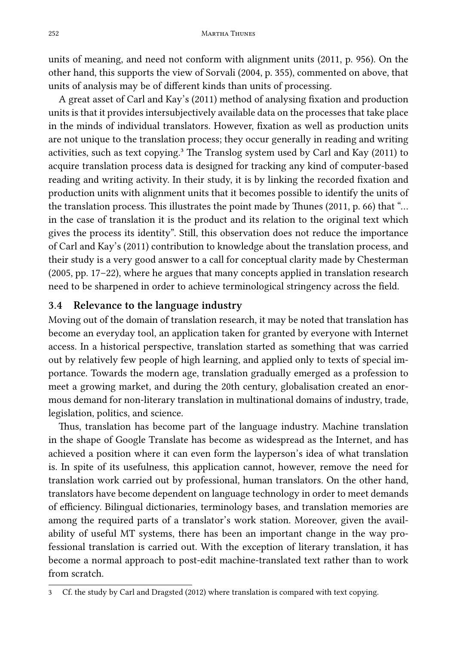252 Martha Thunes

units of meaning, and need not conform with alignment units (2011, p. 956). On the other hand, this supports the view of Sorvali (2004, p. 355), commented on above, that units of analysis may be of different kinds than units of processing.

A great asset of Carl and Kay's (2011) method of analysing fixation and production units is that it provides intersubjectively available data on the processes that take place in the minds of individual translators. However, fixation as well as production units are not unique to the translation process; they occur generally in reading and writing activities, such as text copying.<sup>3</sup> The Translog system used by Carl and Kay (2011) to acquire translation process data is designed for tracking any kind of computer-based reading and writing activity. In their study, it is by linking the recorded fixation and production units with alignment units that it becomes possible to identify the units of the translation process. This illustrates the point made by Thunes (2011, p. 66) that "… in the case of translation it is the product and its relation to the original text which gives the process its identity". Still, this observation does not reduce the importance of Carl and Kay's (2011) contribution to knowledge about the translation process, and their study is a very good answer to a call for conceptual clarity made by Chesterman (2005, pp. 17–22), where he argues that many concepts applied in translation research need to be sharpened in order to achieve terminological stringency across the field.

#### **3.4 Relevance to the language industry**

Moving out of the domain of translation research, it may be noted that translation has become an everyday tool, an application taken for granted by everyone with Internet access. In a historical perspective, translation started as something that was carried out by relatively few people of high learning, and applied only to texts of special importance. Towards the modern age, translation gradually emerged as a profession to meet a growing market, and during the 20th century, globalisation created an enormous demand for non-literary translation in multinational domains of industry, trade, legislation, politics, and science.

Thus, translation has become part of the language industry. Machine translation in the shape of Google Translate has become as widespread as the Internet, and has achieved a position where it can even form the layperson's idea of what translation is. In spite of its usefulness, this application cannot, however, remove the need for translation work carried out by professional, human translators. On the other hand, translators have become dependent on language technology in order to meet demands of efficiency. Bilingual dictionaries, terminology bases, and translation memories are among the required parts of a translator's work station. Moreover, given the availability of useful MT systems, there has been an important change in the way professional translation is carried out. With the exception of literary translation, it has become a normal approach to post-edit machine-translated text rather than to work from scratch.

<sup>3</sup> Cf. the study by Carl and Dragsted (2012) where translation is compared with text copying.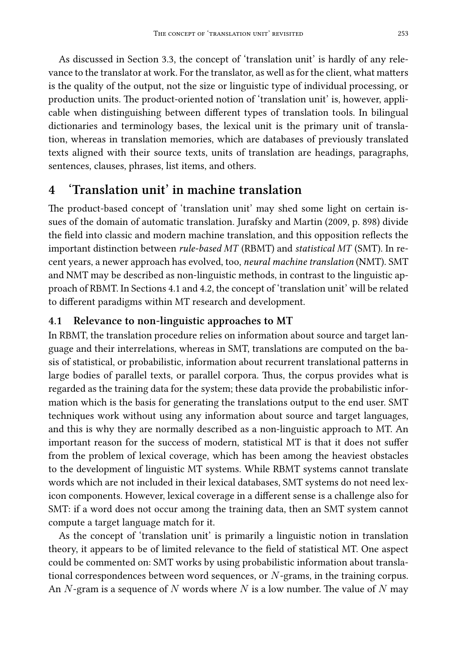<span id="page-12-0"></span>As discussed in Section 3.3, the concept of 'translation unit' is hardly of any relevance to the translator at work. For the translator, as well as for the client, what matters is the quality of the output, not the size or linguistic type of individual processing, or production units. The product-oriented notion of 'translation unit' is, however, applicable when distinguishing between different types of translation tools. In bilingual dictionaries and terminology bases, the lexical unit is the primary unit of translation, whereas in translation memories, which are databases of previously translated texts aligned with their source texts, units of translation are headings, paragraphs, sentences, clauses, phrases, list items, and others.

#### **4 'Translation unit[' in](#page-12-1) m[ach](#page-13-0)ine translation**

<span id="page-12-1"></span>The product-based concept of 'translation unit' may shed some light on certain issues of the domain of automatic translation. Jurafsky and Martin (2009, p. 898) divide the field into classic and modern machine translation, and this opposition reflects the important distinction between *rule-based MT* (RBMT) and *statistical MT* (SMT). In recent years, a newer approach has evolved, too, *neural machine translation* (NMT). SMT and NMT may be described as non-linguistic methods, in contrast to the linguistic approach of RBMT. In Sections 4.1 and 4.2, the concept of 'translation unit' will be related to different paradigms within MT research and development.

#### **4.1 Relevance to non-linguistic approaches to MT**

In RBMT, the translation procedure relies on information about source and target language and their interrelations, whereas in SMT, translations are computed on the basis of statistical, or probabilistic, information about recurrent translational patterns in large bodies of parallel texts, or parallel corpora. Thus, the corpus provides what is regarded as the training data for the system; these data provide the probabilistic information which is the basis for generating the translations output to the end user. SMT techniques work without using any information about source and target languages, and this is why they are normally described as a non-linguistic approach to MT. An important reason for the success of modern, statistical MT is that it does not suffer from the problem of lexical coverage, which has been among the heaviest obstacles to the development of linguistic MT systems. While RBMT systems cannot translate words which are not included in their lexical databases, SMT systems do not need lexicon components. However, lexical coverage in a different sense is a challenge also for SMT: if a word does not occur among the training data, then an SMT system cannot compute a target language match for it.

As the concept of 'translation unit' is primarily a linguistic notion in translation theory, it appears to be of limited relevance to the field of statistical MT. One aspect could be commented on: SMT works by using probabilistic information about translational correspondences between word sequences, or *N*-grams, in the training corpus. An *N*-gram is a sequence of *N* words where *N* is a low number. The value of *N* may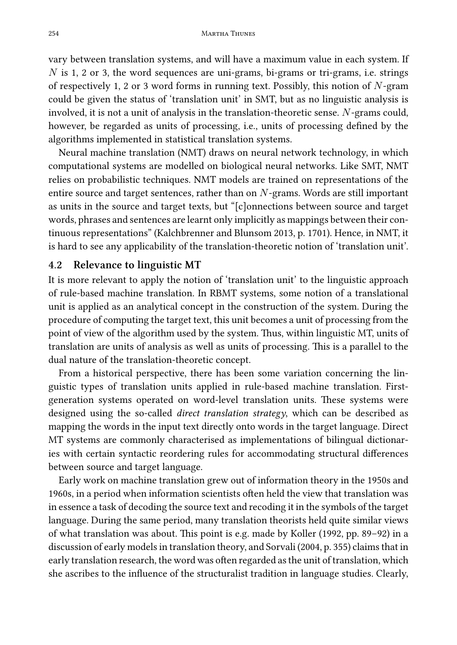vary between translation systems, and will have a maximum value in each system. If *N* is 1, 2 or 3, the word sequences are uni-grams, bi-grams or tri-grams, i.e. strings of respectively 1, 2 or 3 word forms in running text. Possibly, this notion of *N*-gram could be given the status of 'translation unit' in SMT, but as no linguistic analysis is involved, it is not a unit of analysis in the translation-theoretic sense. *N*-grams could, however, be regarded as units of processing, i.e., units of processing defined by the algorithms implemented in statistical translation systems.

Neural machine translation (NMT) draws on neural network technology, in which computational systems are modelled on biological neural networks. Like SMT, NMT relies on probabilistic techniques. NMT models are trained on representations of the entire source and target sentences, rather than on *N*-grams. Words are still important as units in the source and target texts, but "[c]onnections between source and target words, phrases and sentences are learnt only implicitly as mappings between their continuous representations" (Kalchbrenner and Blunsom 2013, p. 1701). Hence, in NMT, it is hard to see any applicability of the translation-theoretic notion of 'translation unit'.

#### <span id="page-13-0"></span>**4.2 Relevance to linguistic MT**

It is more relevant to apply the notion of 'translation unit' to the linguistic approach of rule-based machine translation. In RBMT systems, some notion of a translational unit is applied as an analytical concept in the construction of the system. During the procedure of computing the target text, this unit becomes a unit of processing from the point of view of the algorithm used by the system. Thus, within linguistic MT, units of translation are units of analysis as well as units of processing. This is a parallel to the dual nature of the translation-theoretic concept.

From a historical perspective, there has been some variation concerning the linguistic types of translation units applied in rule-based machine translation. Firstgeneration systems operated on word-level translation units. These systems were designed using the so-called *direct translation strategy*, which can be described as mapping the words in the input text directly onto words in the target language. Direct MT systems are commonly characterised as implementations of bilingual dictionaries with certain syntactic reordering rules for accommodating structural differences between source and target language.

Early work on machine translation grew out of information theory in the 1950s and 1960s, in a period when information scientists often held the view that translation was in essence a task of decoding the source text and recoding it in the symbols of the target language. During the same period, many translation theorists held quite similar views of what translation was about. This point is e.g. made by Koller (1992, pp. 89–92) in a discussion of early models in translation theory, and Sorvali (2004, p. 355) claims that in early translation research, the word was often regarded as the unit of translation, which she ascribes to the influence of the structuralist tradition in language studies. Clearly,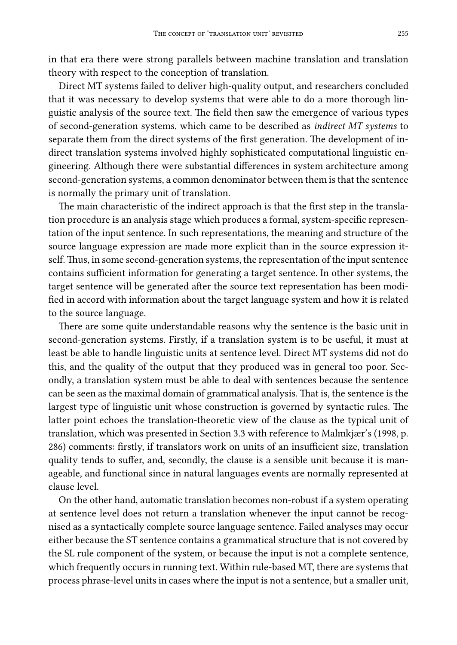in that era there were strong parallels between machine translation and translation theory with respect to the conception of translation.

Direct MT systems failed to deliver high-quality output, and researchers concluded that it was necessary to develop systems that were able to do a more thorough linguistic analysis of the source text. The field then saw the emergence of various types of second-generation systems, which came to be described as *indirect MT systems* to separate them from the direct systems of the first generation. The development of indirect translation systems involved highly sophisticated computational linguistic engineering. Although there were substantial differences in system architecture among second-generation systems, a common denominator between them is that the sentence is normally the primary unit of translation.

The main characteristic of the indirect approach is that the first step in the translation procedure is an analysis stage which produces a formal, system-specific representation of the input sentence. In such representations, the meaning and structure of the source language expression are made more explicit than in the source expression itself. Thus, in some second-generation systems, the representation of the input sentence contains sufficient information for generating a target sentence. In other systems, the target sentence will be generated after the source text representation has been modified in accord with information about the target language system and how it is related to the source language.

There are some quite understandable rea[son](#page-7-0)s why the sentence is the basic unit in second-generation systems. Firstly, if a translation system is to be useful, it must at least be able to handle linguistic units at sentence level. Direct MT systems did not do this, and the quality of the output that they produced was in general too poor. Secondly, a translation system must be able to deal with sentences because the sentence can be seen as the maximal domain of grammatical analysis. That is, the sentence is the largest type of linguistic unit whose construction is governed by syntactic rules. The latter point echoes the translation-theoretic view of the clause as the typical unit of translation, which was presented in Section 3.3 with reference to Malmkjær's (1998, p. 286) comments: firstly, if translators work on units of an insufficient size, translation quality tends to suffer, and, secondly, the clause is a sensible unit because it is manageable, and functional since in natural languages events are normally represented at clause level.

On the other hand, automatic translation becomes non-robust if a system operating at sentence level does not return a translation whenever the input cannot be recognised as a syntactically complete source language sentence. Failed analyses may occur either because the ST sentence contains a grammatical structure that is not covered by the SL rule component of the system, or because the input is not a complete sentence, which frequently occurs in running text. Within rule-based MT, there are systems that process phrase-level units in cases where the input is not a sentence, but a smaller unit,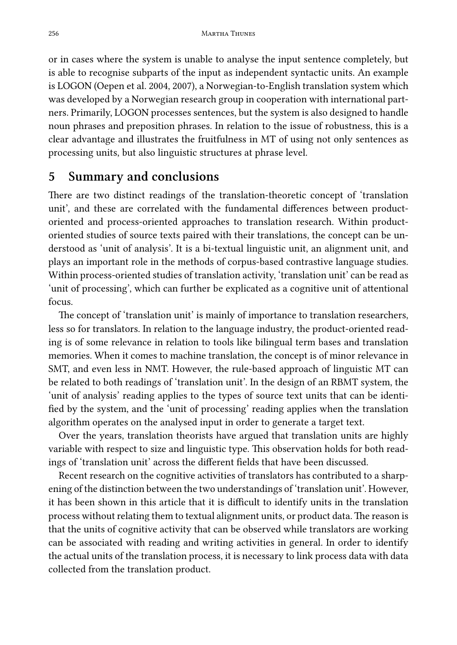or in cases where the system is unable to analyse the input sentence completely, but is able to recognise subparts of the input as independent syntactic units. An example is LOGON (Oepen et al. 2004, 2007), a Norwegian-to-English translation system which was developed by a Norwegian research group in cooperation with international partners. Primarily, LOGON processes sentences, but the system is also designed to handle noun phrases and preposition phrases. In relation to the issue of robustness, this is a clear advantage and illustrates the fruitfulness in MT of using not only sentences as processing units, but also linguistic structures at phrase level.

### **5 Summary and conclusions**

There are two distinct readings of the translation-theoretic concept of 'translation unit', and these are correlated with the fundamental differences between productoriented and process-oriented approaches to translation research. Within productoriented studies of source texts paired with their translations, the concept can be understood as 'unit of analysis'. It is a bi-textual linguistic unit, an alignment unit, and plays an important role in the methods of corpus-based contrastive language studies. Within process-oriented studies of translation activity, 'translation unit' can be read as 'unit of processing', which can further be explicated as a cognitive unit of attentional focus.

The concept of 'translation unit' is mainly of importance to translation researchers, less so for translators. In relation to the language industry, the product-oriented reading is of some relevance in relation to tools like bilingual term bases and translation memories. When it comes to machine translation, the concept is of minor relevance in SMT, and even less in NMT. However, the rule-based approach of linguistic MT can be related to both readings of 'translation unit'. In the design of an RBMT system, the 'unit of analysis' reading applies to the types of source text units that can be identified by the system, and the 'unit of processing' reading applies when the translation algorithm operates on the analysed input in order to generate a target text.

Over the years, translation theorists have argued that translation units are highly variable with respect to size and linguistic type. This observation holds for both readings of 'translation unit' across the different fields that have been discussed.

Recent research on the cognitive activities of translators has contributed to a sharpening of the distinction between the two understandings of 'translation unit'. However, it has been shown in this article that it is difficult to identify units in the translation process without relating them to textual alignment units, or product data. The reason is that the units of cognitive activity that can be observed while translators are working can be associated with reading and writing activities in general. In order to identify the actual units of the translation process, it is necessary to link process data with data collected from the translation product.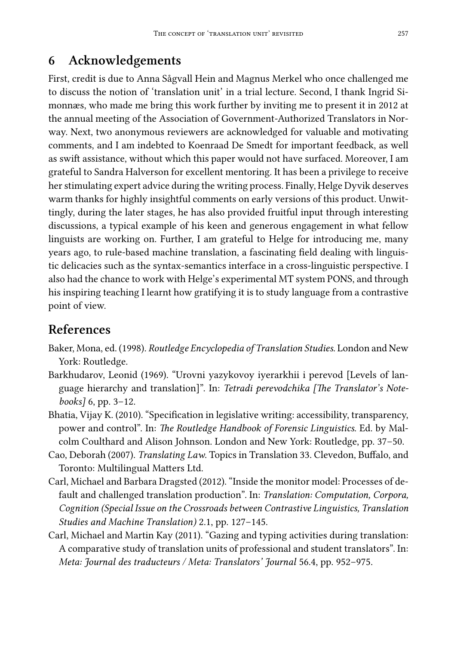## **6 Acknowledgements**

First, credit is due to Anna Sågvall Hein and Magnus Merkel who once challenged me to discuss the notion of 'translation unit' in a trial lecture. Second, I thank Ingrid Simonnæs, who made me bring this work further by inviting me to present it in 2012 at the annual meeting of the Association of Government-Authorized Translators in Norway. Next, two anonymous reviewers are acknowledged for valuable and motivating comments, and I am indebted to Koenraad De Smedt for important feedback, as well as swift assistance, without which this paper would not have surfaced. Moreover, I am grateful to Sandra Halverson for excellent mentoring. It has been a privilege to receive her stimulating expert advice during the writing process. Finally, Helge Dyvik deserves warm thanks for highly insightful comments on early versions of this product. Unwittingly, during the later stages, he has also provided fruitful input through interesting discussions, a typical example of his keen and generous engagement in what fellow linguists are working on. Further, I am grateful to Helge for introducing me, many years ago, to rule-based machine translation, a fascinating field dealing with linguistic delicacies such as the syntax-semantics interface in a cross-linguistic perspective. I also had the chance to work with Helge's experimental MT system PONS, and through his inspiring teaching I learnt how gratifying it is to study language from a contrastive point of view.

## **References**

- Baker, Mona, ed. (1998). *Routledge Encyclopedia of Translation Studies*. London and New York: Routledge.
- Barkhudarov, Leonid (1969). "Urovni yazykovoy iyerarkhii i perevod [Levels of language hierarchy and translation]". In: *Tetradi perevodchika [The Translator's Notebooks]* 6, pp. 3–12.
- Bhatia, Vijay K. (2010). "Specification in legislative writing: accessibility, transparency, power and control". In: *The Routledge Handbook of Forensic Linguistics*. Ed. by Malcolm Coulthard and Alison Johnson. London and New York: Routledge, pp. 37–50.
- Cao, Deborah (2007). *Translating Law*. Topics in Translation 33. Clevedon, Buffalo, and Toronto: Multilingual Matters Ltd.
- Carl, Michael and Barbara Dragsted (2012). "Inside the monitor model: Processes of default and challenged translation production". In: *Translation: Computation, Corpora, Cognition (Special Issue on the Crossroads between Contrastive Linguistics, Translation Studies and Machine Translation)* 2.1, pp. 127–145.
- Carl, Michael and Martin Kay (2011). "Gazing and typing activities during translation: A comparative study of translation units of professional and student translators". In: *Meta: Journal des traducteurs / Meta: Translators' Journal* 56.4, pp. 952–975.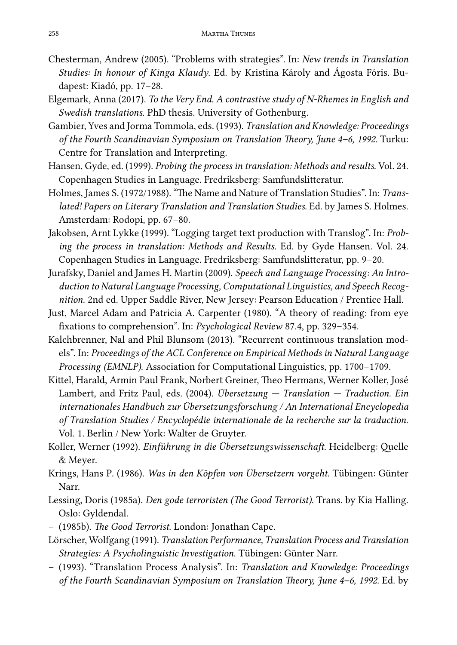- Chesterman, Andrew (2005). "Problems with strategies". In: *New trends in Translation Studies: In honour of Kinga Klaudy*. Ed. by Kristina Károly and Ágosta Fóris. Budapest: Kiadó, pp. 17–28.
- Elgemark, Anna (2017). *To the Very End. A contrastive study of N-Rhemes in English and Swedish translations*. PhD thesis. University of Gothenburg.
- Gambier, Yves and Jorma Tommola, eds. (1993). *Translation and Knowledge: Proceedings of the Fourth Scandinavian Symposium on Translation Theory, June 4–6, 1992*. Turku: Centre for Translation and Interpreting.
- Hansen, Gyde, ed. (1999). *Probing the process in translation: Methods and results*. Vol. 24. Copenhagen Studies in Language. Fredriksberg: Samfundslitteratur.
- Holmes, James S. (1972/1988). "The Name and Nature of Translation Studies". In: *Translated! Papers on Literary Translation and Translation Studies*. Ed. by James S. Holmes. Amsterdam: Rodopi, pp. 67–80.
- Jakobsen, Arnt Lykke (1999). "Logging target text production with Translog". In: *Probing the process in translation: Methods and Results*. Ed. by Gyde Hansen. Vol. 24. Copenhagen Studies in Language. Fredriksberg: Samfundslitteratur, pp. 9–20.
- Jurafsky, Daniel and James H. Martin (2009). *Speech and Language Processing: An Introduction to Natural Language Processing, Computational Linguistics, and Speech Recognition*. 2nd ed. Upper Saddle River, New Jersey: Pearson Education / Prentice Hall.
- Just, Marcel Adam and Patricia A. Carpenter (1980). "A theory of reading: from eye fixations to comprehension". In: *Psychological Review* 87.4, pp. 329–354.
- Kalchbrenner, Nal and Phil Blunsom (2013). "Recurrent continuous translation models". In: *Proceedings of the ACL Conference on Empirical Methods in Natural Language Processing (EMNLP)*. Association for Computational Linguistics, pp. 1700–1709.
- Kittel, Harald, Armin Paul Frank, Norbert Greiner, Theo Hermans, Werner Koller, José Lambert, and Fritz Paul, eds. (2004). *Übersetzung — Translation — Traduction. Ein internationales Handbuch zur Übersetzungsforschung / An International Encyclopedia of Translation Studies / Encyclopédie internationale de la recherche sur la traduction*. Vol. 1. Berlin / New York: Walter de Gruyter.
- Koller, Werner (1992). *Einführung in die Übersetzungswissenschaft*. Heidelberg: Quelle & Meyer.
- Krings, Hans P. (1986). *Was in den Köpfen von Übersetzern vorgeht*. Tübingen: Günter Narr.
- Lessing, Doris (1985a). *Den gode terroristen (The Good Terrorist).* Trans. by Kia Halling. Oslo: Gyldendal.
- (1985b). *The Good Terrorist*. London: Jonathan Cape.
- Lörscher, Wolfgang (1991). *Translation Performance, Translation Process and Translation Strategies: A Psycholinguistic Investigation*. Tübingen: Günter Narr.
- (1993). "Translation Process Analysis". In: *Translation and Knowledge: Proceedings of the Fourth Scandinavian Symposium on Translation Theory, June 4–6, 1992*. Ed. by